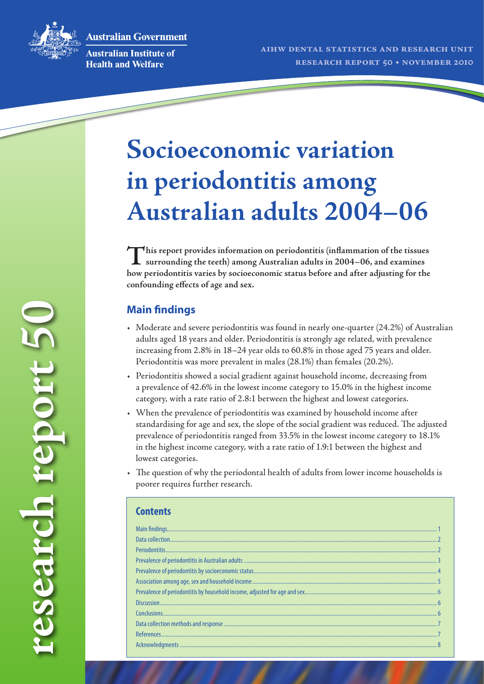**Australian Government** 



**research report 50**

research report 50

**Australian Institute of Health and Welfare** 

# **Socioeconomic variation in periodontitis among Australian adults 2004–06**

**This report provides information on periodontitis (inflammation of the tissues surrounding the teeth) among Australian adults in 2004–06, and examines how periodontitis varies by socioeconomic status before and after adjusting for the confounding effects of age and sex.**

# **Main findings**

- • Moderate and severe periodontitis was found in nearly one-quarter (24.2%) of Australian adults aged 18 years and older. Periodontitis is strongly age related, with prevalence increasing from 2.8% in 18–24 year olds to 60.8% in those aged 75 years and older. Periodontitis was more prevalent in males (28.1%) than females (20.2%).
- • Periodontitis showed a social gradient against household income, decreasing from a prevalence of 42.6% in the lowest income category to 15.0% in the highest income category, with a rate ratio of 2.8:1 between the highest and lowest categories.
- • When the prevalence of periodontitis was examined by household income after standardising for age and sex, the slope of the social gradient was reduced. The adjusted prevalence of periodontitis ranged from 33.5% in the lowest income category to 18.1% in the highest income category, with a rate ratio of 1.9:1 between the highest and lowest categories.
- The question of why the periodontal health of adults from lower income households is poorer requires further research.

#### **Contents**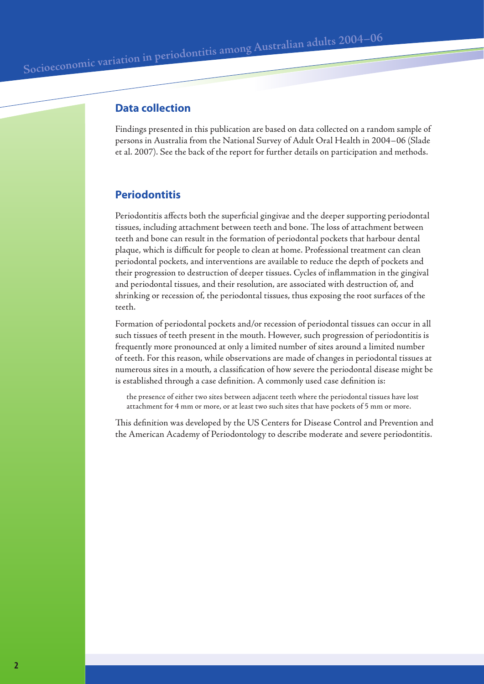## **Data collection**

Findings presented in this publication are based on data collected on a random sample of persons in Australia from the National Survey of Adult Oral Health in 2004–06 (Slade et al. 2007). See the back of the report for further details on participation and methods.

## **Periodontitis**

Periodontitis affects both the superficial gingivae and the deeper supporting periodontal tissues, including attachment between teeth and bone. The loss of attachment between teeth and bone can result in the formation of periodontal pockets that harbour dental plaque, which is difficult for people to clean at home. Professional treatment can clean periodontal pockets, and interventions are available to reduce the depth of pockets and their progression to destruction of deeper tissues. Cycles of inflammation in the gingival and periodontal tissues, and their resolution, are associated with destruction of, and shrinking or recession of, the periodontal tissues, thus exposing the root surfaces of the teeth.

Formation of periodontal pockets and/or recession of periodontal tissues can occur in all such tissues of teeth present in the mouth. However, such progression of periodontitis is frequently more pronounced at only a limited number of sites around a limited number of teeth. For this reason, while observations are made of changes in periodontal tissues at numerous sites in a mouth, a classification of how severe the periodontal disease might be is established through a case definition. A commonly used case definition is:

the presence of either two sites between adjacent teeth where the periodontal tissues have lost attachment for 4 mm or more, or at least two such sites that have pockets of 5 mm or more.

This definition was developed by the US Centers for Disease Control and Prevention and the American Academy of Periodontology to describe moderate and severe periodontitis.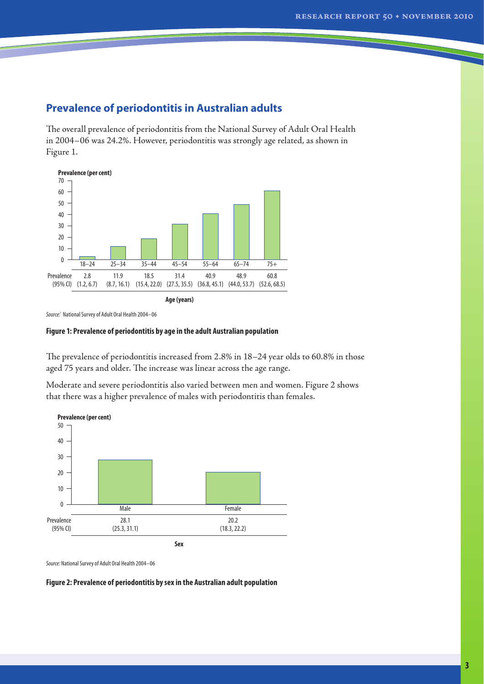## **Prevalence of periodontitis in Australian adults**

The overall prevalence of periodontitis from the National Survey of Adult Oral Health in 2004–06 was 24.2%. However, periodontitis was strongly age related, as shown in Figure 1.



*Source:*` National Survey of Adult Oral Health 2004–06

#### **Figure 1: Prevalence of periodontitis by age in the adult Australian population**

The prevalence of periodontitis increased from 2.8% in 18–24 year olds to 60.8% in those aged 75 years and older. The increase was linear across the age range.

Moderate and severe periodontitis also varied between men and women. Figure 2 shows that there was a higher prevalence of males with periodontitis than females.



*Source:* National Survey of Adult Oral Health 2004–06

#### **Figure 2: Prevalence of periodontitis by sex in the Australian adult population**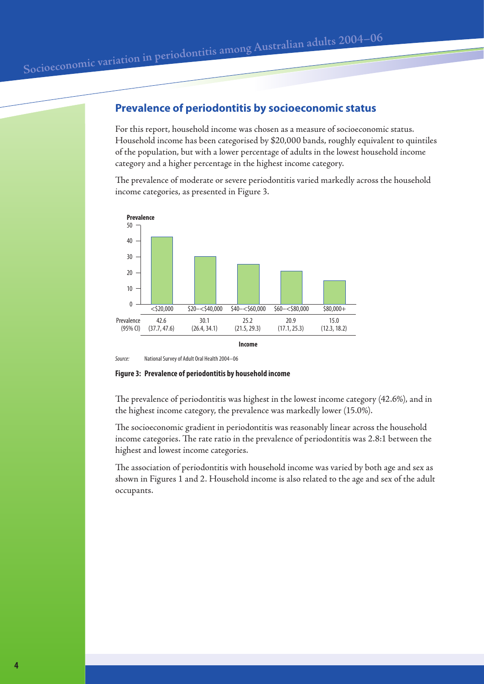## **Prevalence of periodontitis by socioeconomic status**

For this report, household income was chosen as a measure of socioeconomic status. Household income has been categorised by \$20,000 bands, roughly equivalent to quintiles of the population, but with a lower percentage of adults in the lowest household income category and a higher percentage in the highest income category.

The prevalence of moderate or severe periodontitis varied markedly across the household income categories, as presented in Figure 3.



*Source:* National Survey of Adult Oral Health 2004–06

**Figure 3: Prevalence of periodontitis by household income**

The prevalence of periodontitis was highest in the lowest income category (42.6%), and in the highest income category, the prevalence was markedly lower (15.0%).

The socioeconomic gradient in periodontitis was reasonably linear across the household income categories. The rate ratio in the prevalence of periodontitis was 2.8:1 between the highest and lowest income categories.

The association of periodontitis with household income was varied by both age and sex as shown in Figures 1 and 2. Household income is also related to the age and sex of the adult occupants.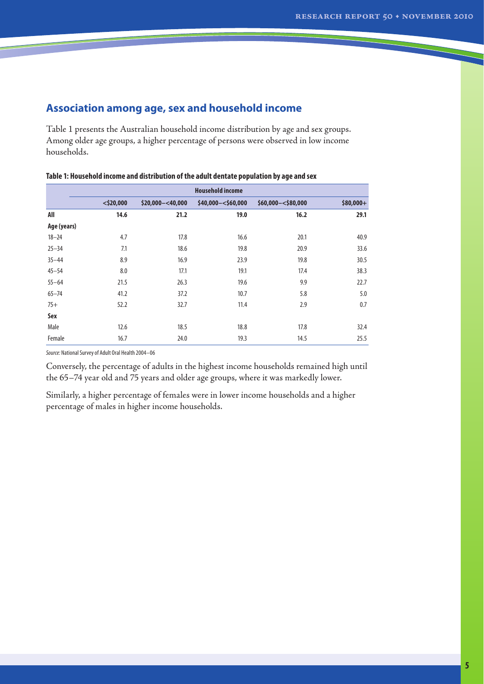## **Association among age, sex and household income**

Table 1 presents the Australian household income distribution by age and sex groups. Among older age groups, a higher percentage of persons were observed in low income households.

|             | <b>Household income</b> |                      |                       |                     |            |  |
|-------------|-------------------------|----------------------|-----------------------|---------------------|------------|--|
|             | $<$ \$20,000            | $$20,000 - < 40,000$ | $$40,000 - < $60,000$ | $$60,000 - $80,000$ | $$80,000+$ |  |
| All         | 14.6                    | 21.2                 | 19.0                  | 16.2                | 29.1       |  |
| Age (years) |                         |                      |                       |                     |            |  |
| $18 - 24$   | 4.7                     | 17.8                 | 16.6                  | 20.1                | 40.9       |  |
| $25 - 34$   | 7.1                     | 18.6                 | 19.8                  | 20.9                | 33.6       |  |
| $35 - 44$   | 8.9                     | 16.9                 | 23.9                  | 19.8                | 30.5       |  |
| $45 - 54$   | 8.0                     | 17.1                 | 19.1                  | 17.4                | 38.3       |  |
| $55 - 64$   | 21.5                    | 26.3                 | 19.6                  | 9.9                 | 22.7       |  |
| $65 - 74$   | 41.2                    | 37.2                 | 10.7                  | 5.8                 | 5.0        |  |
| $75+$       | 52.2                    | 32.7                 | 11.4                  | 2.9                 | 0.7        |  |
| Sex         |                         |                      |                       |                     |            |  |
| Male        | 12.6                    | 18.5                 | 18.8                  | 17.8                | 32.4       |  |
| Female      | 16.7                    | 24.0                 | 19.3                  | 14.5                | 25.5       |  |

#### **Table 1: Household income and distribution of the adult dentate population by age and sex**

*Source:* National Survey of Adult Oral Health 2004–06

Conversely, the percentage of adults in the highest income households remained high until the 65–74 year old and 75 years and older age groups, where it was markedly lower.

Similarly, a higher percentage of females were in lower income households and a higher percentage of males in higher income households.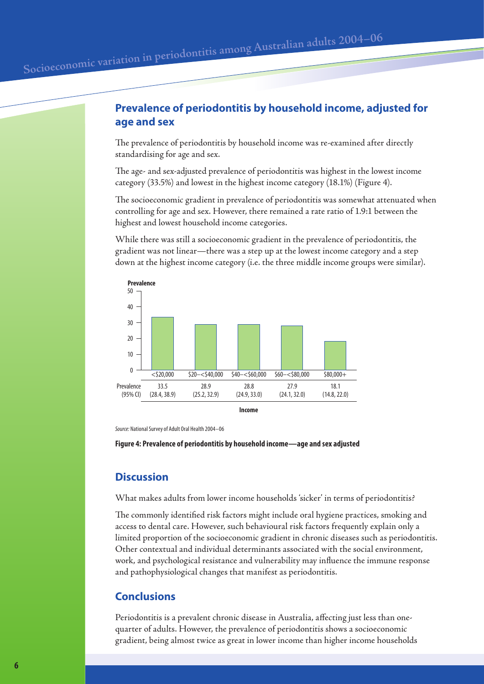The prevalence of periodontitis by household income was re-examined after directly standardising for age and sex.

The age- and sex-adjusted prevalence of periodontitis was highest in the lowest income category (33.5%) and lowest in the highest income category (18.1%) (Figure 4).

The socioeconomic gradient in prevalence of periodontitis was somewhat attenuated when controlling for age and sex. However, there remained a rate ratio of 1.9:1 between the highest and lowest household income categories.

While there was still a socioeconomic gradient in the prevalence of periodontitis, the gradient was not linear—there was a step up at the lowest income category and a step down at the highest income category (i.e. the three middle income groups were similar).



*Source:* National Survey of Adult Oral Health 2004–06

**Figure 4: Prevalence of periodontitis by household income—age and sex adjusted**

#### **Discussion**

What makes adults from lower income households 'sicker' in terms of periodontitis?

The commonly identified risk factors might include oral hygiene practices, smoking and access to dental care. However, such behavioural risk factors frequently explain only a limited proportion of the socioeconomic gradient in chronic diseases such as periodontitis. Other contextual and individual determinants associated with the social environment, work, and psychological resistance and vulnerability may influence the immune response and pathophysiological changes that manifest as periodontitis.

#### **Conclusions**

Periodontitis is a prevalent chronic disease in Australia, affecting just less than onequarter of adults. However, the prevalence of periodontitis shows a socioeconomic gradient, being almost twice as great in lower income than higher income households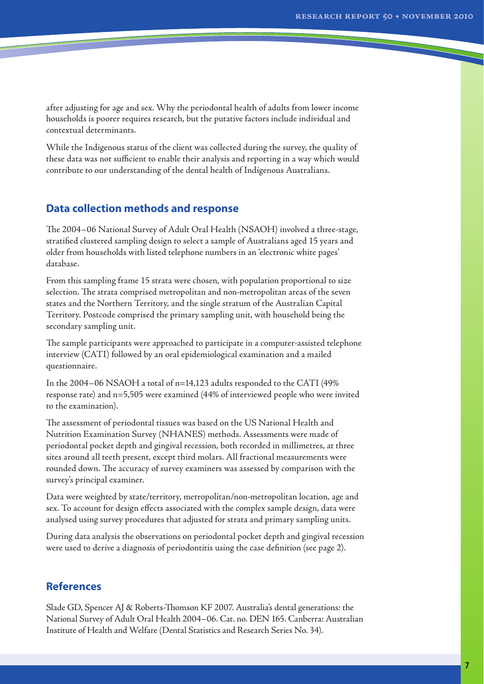after adjusting for age and sex. Why the periodontal health of adults from lower income households is poorer requires research, but the putative factors include individual and contextual determinants.

While the Indigenous status of the client was collected during the survey, the quality of these data was not sufficient to enable their analysis and reporting in a way which would contribute to our understanding of the dental health of Indigenous Australians.

#### **Data collection methods and response**

The 2004–06 National Survey of Adult Oral Health (NSAOH) involved a three-stage, stratified clustered sampling design to select a sample of Australians aged 15 years and older from households with listed telephone numbers in an 'electronic white pages' database.

From this sampling frame 15 strata were chosen, with population proportional to size selection. The strata comprised metropolitan and non-metropolitan areas of the seven states and the Northern Territory, and the single stratum of the Australian Capital Territory. Postcode comprised the primary sampling unit, with household being the secondary sampling unit.

The sample participants were approached to participate in a computer-assisted telephone interview (CATI) followed by an oral epidemiological examination and a mailed questionnaire.

In the 2004–06 NSAOH a total of n=14,123 adults responded to the CATI (49% response rate) and n=5,505 were examined (44% of interviewed people who were invited to the examination).

The assessment of periodontal tissues was based on the US National Health and Nutrition Examination Survey (NHANES) methods. Assessments were made of periodontal pocket depth and gingival recession, both recorded in millimetres, at three sites around all teeth present, except third molars. All fractional measurements were rounded down. The accuracy of survey examiners was assessed by comparison with the survey's principal examiner.

Data were weighted by state/territory, metropolitan/non-metropolitan location, age and sex. To account for design effects associated with the complex sample design, data were analysed using survey procedures that adjusted for strata and primary sampling units.

During data analysis the observations on periodontal pocket depth and gingival recession were used to derive a diagnosis of periodontitis using the case definition (see page 2).

#### **References**

Slade GD, Spencer AJ & Roberts-Thomson KF 2007. Australia's dental generations: the National Survey of Adult Oral Health 2004–06. Cat. no. DEN 165. Canberra: Australian Institute of Health and Welfare(Dental Statistics and Research Series No. 34).